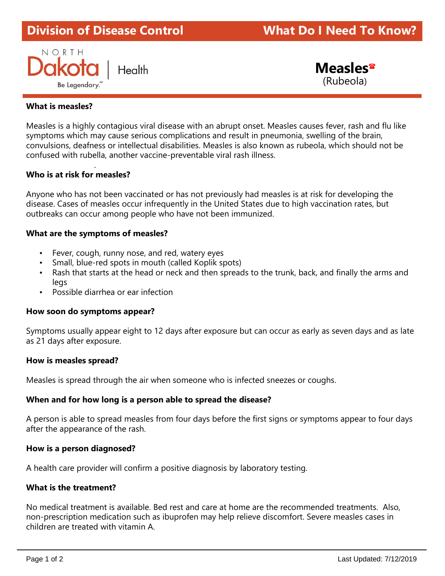# **Division of Disease Control What Do I Need To Know?**



 **Measles** (Rubeola)

## **What is measles?**

.

Measles is a highly contagious viral disease with an abrupt onset. Measles causes fever, rash and flu like symptoms which may cause serious complications and result in pneumonia, swelling of the brain, convulsions, deafness or intellectual disabilities. Measles is also known as rubeola, which should not be confused with rubella, another vaccine-preventable viral rash illness.

### **Who is at risk for measles?**

Anyone who has not been vaccinated or has not previously had measles is at risk for developing the disease. Cases of measles occur infrequently in the United States due to high vaccination rates, but outbreaks can occur among people who have not been immunized.

### **What are the symptoms of measles?**

- Fever, cough, runny nose, and red, watery eyes
- Small, blue-red spots in mouth (called Koplik spots)
- Rash that starts at the head or neck and then spreads to the trunk, back, and finally the arms and legs
- Possible diarrhea or ear infection

### **How soon do symptoms appear?**

Symptoms usually appear eight to 12 days after exposure but can occur as early as seven days and as late as 21 days after exposure.

#### **How is measles spread?**

Measles is spread through the air when someone who is infected sneezes or coughs.

### **When and for how long is a person able to spread the disease?**

A person is able to spread measles from four days before the first signs or symptoms appear to four days after the appearance of the rash.

#### **How is a person diagnosed?**

A health care provider will confirm a positive diagnosis by laboratory testing.

### **What is the treatment?**

No medical treatment is available. Bed rest and care at home are the recommended treatments. Also, non-prescription medication such as ibuprofen may help relieve discomfort. Severe measles cases in children are treated with vitamin A.